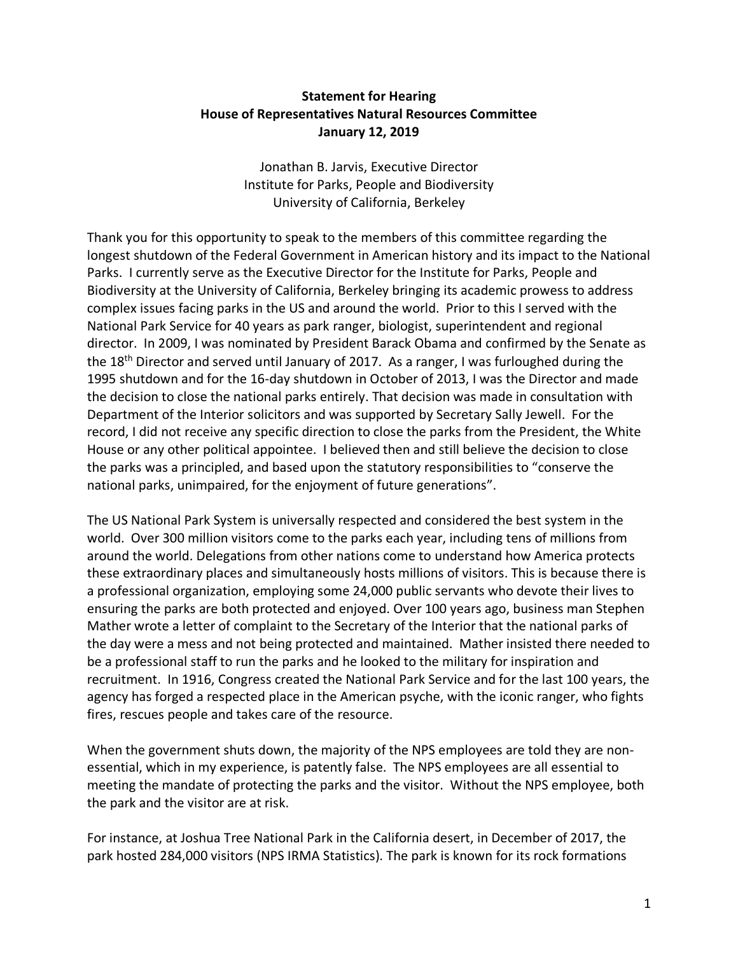## **Statement for Hearing House of Representatives Natural Resources Committee January 12, 2019**

Jonathan B. Jarvis, Executive Director Institute for Parks, People and Biodiversity University of California, Berkeley

Thank you for this opportunity to speak to the members of this committee regarding the longest shutdown of the Federal Government in American history and its impact to the National Parks. I currently serve as the Executive Director for the Institute for Parks, People and Biodiversity at the University of California, Berkeley bringing its academic prowess to address complex issues facing parks in the US and around the world. Prior to this I served with the National Park Service for 40 years as park ranger, biologist, superintendent and regional director. In 2009, I was nominated by President Barack Obama and confirmed by the Senate as the 18<sup>th</sup> Director and served until January of 2017. As a ranger, I was furloughed during the 1995 shutdown and for the 16-day shutdown in October of 2013, I was the Director and made the decision to close the national parks entirely. That decision was made in consultation with Department of the Interior solicitors and was supported by Secretary Sally Jewell. For the record, I did not receive any specific direction to close the parks from the President, the White House or any other political appointee. I believed then and still believe the decision to close the parks was a principled, and based upon the statutory responsibilities to "conserve the national parks, unimpaired, for the enjoyment of future generations".

The US National Park System is universally respected and considered the best system in the world. Over 300 million visitors come to the parks each year, including tens of millions from around the world. Delegations from other nations come to understand how America protects these extraordinary places and simultaneously hosts millions of visitors. This is because there is a professional organization, employing some 24,000 public servants who devote their lives to ensuring the parks are both protected and enjoyed. Over 100 years ago, business man Stephen Mather wrote a letter of complaint to the Secretary of the Interior that the national parks of the day were a mess and not being protected and maintained. Mather insisted there needed to be a professional staff to run the parks and he looked to the military for inspiration and recruitment. In 1916, Congress created the National Park Service and for the last 100 years, the agency has forged a respected place in the American psyche, with the iconic ranger, who fights fires, rescues people and takes care of the resource.

When the government shuts down, the majority of the NPS employees are told they are nonessential, which in my experience, is patently false. The NPS employees are all essential to meeting the mandate of protecting the parks and the visitor. Without the NPS employee, both the park and the visitor are at risk.

For instance, at Joshua Tree National Park in the California desert, in December of 2017, the park hosted 284,000 visitors (NPS IRMA Statistics). The park is known for its rock formations